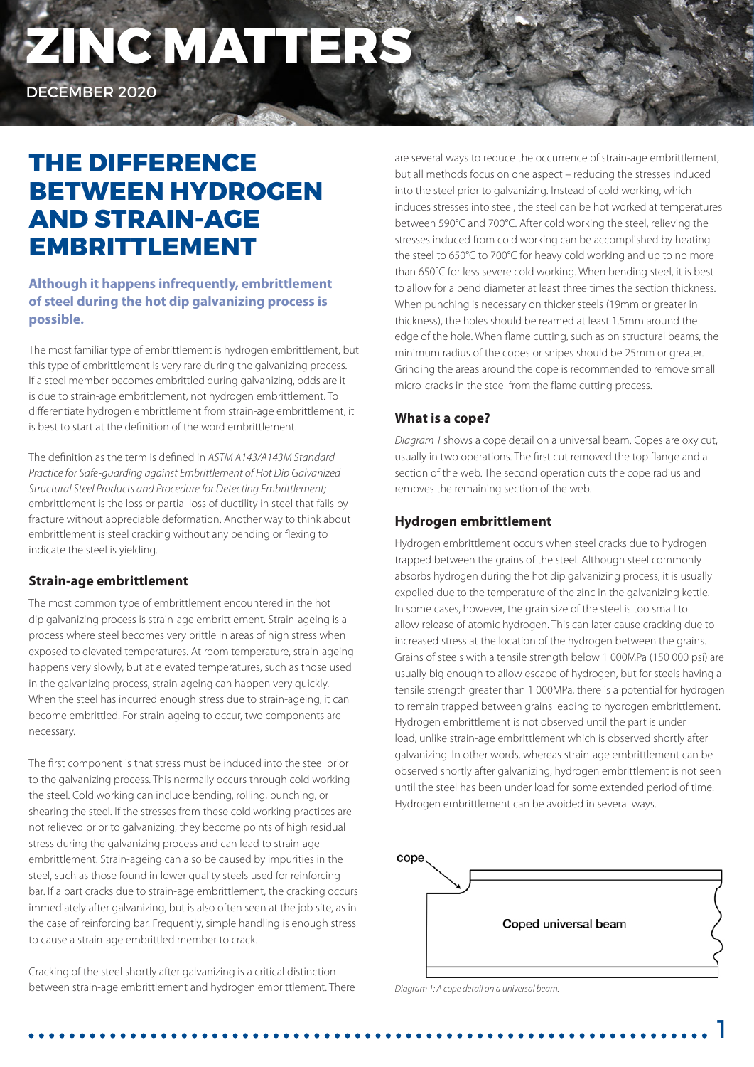# **ZINC MATTERS**

DECEMBER 2020

## **THE DIFFERENCE BETWEEN HYDROGEN AND STRAIN-AGE EMBRITTLEMENT**

### **Although it happens infrequently, embrittlement of steel during the hot dip galvanizing process is possible.**

The most familiar type of embrittlement is hydrogen embrittlement, but this type of embrittlement is very rare during the galvanizing process. If a steel member becomes embrittled during galvanizing, odds are it is due to strain-age embrittlement, not hydrogen embrittlement. To differentiate hydrogen embrittlement from strain-age embrittlement, it is best to start at the definition of the word embrittlement.

The definition as the term is defined in *ASTM A143/A143M Standard Practice for Safe-guarding against Embrittlement of Hot Dip Galvanized Structural Steel Products and Procedure for Detecting Embrittlement;*  embrittlement is the loss or partial loss of ductility in steel that fails by fracture without appreciable deformation. Another way to think about embrittlement is steel cracking without any bending or flexing to indicate the steel is yielding.

#### **Strain-age embrittlement**

The most common type of embrittlement encountered in the hot dip galvanizing process is strain-age embrittlement. Strain-ageing is a process where steel becomes very brittle in areas of high stress when exposed to elevated temperatures. At room temperature, strain-ageing happens very slowly, but at elevated temperatures, such as those used in the galvanizing process, strain-ageing can happen very quickly. When the steel has incurred enough stress due to strain-ageing, it can become embrittled. For strain-ageing to occur, two components are necessary.

The first component is that stress must be induced into the steel prior to the galvanizing process. This normally occurs through cold working the steel. Cold working can include bending, rolling, punching, or shearing the steel. If the stresses from these cold working practices are not relieved prior to galvanizing, they become points of high residual stress during the galvanizing process and can lead to strain-age embrittlement. Strain-ageing can also be caused by impurities in the steel, such as those found in lower quality steels used for reinforcing bar. If a part cracks due to strain-age embrittlement, the cracking occurs immediately after galvanizing, but is also often seen at the job site, as in the case of reinforcing bar. Frequently, simple handling is enough stress to cause a strain-age embrittled member to crack.

Cracking of the steel shortly after galvanizing is a critical distinction between strain-age embrittlement and hydrogen embrittlement. There are several ways to reduce the occurrence of strain-age embrittlement, but all methods focus on one aspect – reducing the stresses induced into the steel prior to galvanizing. Instead of cold working, which induces stresses into steel, the steel can be hot worked at temperatures between 590°C and 700°C. After cold working the steel, relieving the stresses induced from cold working can be accomplished by heating the steel to 650°C to 700°C for heavy cold working and up to no more than 650°C for less severe cold working. When bending steel, it is best to allow for a bend diameter at least three times the section thickness. When punching is necessary on thicker steels (19mm or greater in thickness), the holes should be reamed at least 1.5mm around the edge of the hole. When flame cutting, such as on structural beams, the minimum radius of the copes or snipes should be 25mm or greater. Grinding the areas around the cope is recommended to remove small micro-cracks in the steel from the flame cutting process.

#### **What is a cope?**

*Diagram 1* shows a cope detail on a universal beam. Copes are oxy cut, usually in two operations. The first cut removed the top flange and a section of the web. The second operation cuts the cope radius and removes the remaining section of the web.

#### **Hydrogen embrittlement**

Hydrogen embrittlement occurs when steel cracks due to hydrogen trapped between the grains of the steel. Although steel commonly absorbs hydrogen during the hot dip galvanizing process, it is usually expelled due to the temperature of the zinc in the galvanizing kettle. In some cases, however, the grain size of the steel is too small to allow release of atomic hydrogen. This can later cause cracking due to increased stress at the location of the hydrogen between the grains. Grains of steels with a tensile strength below 1 000MPa (150 000 psi) are usually big enough to allow escape of hydrogen, but for steels having a tensile strength greater than 1 000MPa, there is a potential for hydrogen to remain trapped between grains leading to hydrogen embrittlement. Hydrogen embrittlement is not observed until the part is under load, unlike strain-age embrittlement which is observed shortly after galvanizing. In other words, whereas strain-age embrittlement can be observed shortly after galvanizing, hydrogen embrittlement is not seen until the steel has been under load for some extended period of time. Hydrogen embrittlement can be avoided in several ways.



1

*Diagram 1: A cope detail on a universal beam.*